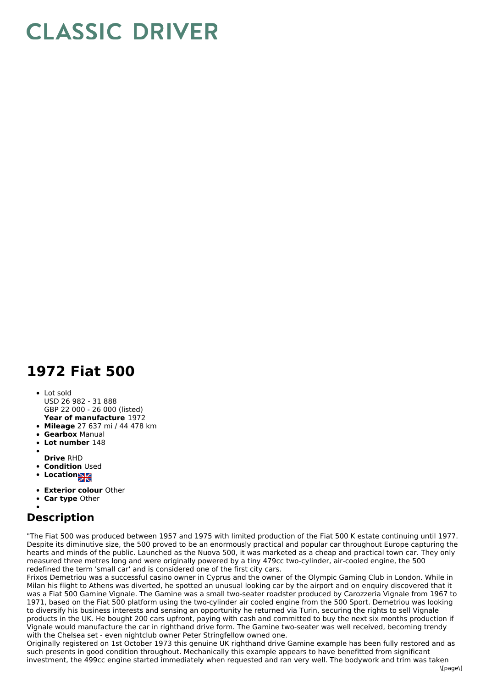## **CLASSIC DRIVER**

## **1972 Fiat 500**

- **Year of manufacture** 1972 Lot sold USD 26 982 - 31 888 GBP 22 000 - 26 000 (listed)
- **Mileage** 27 637 mi / 44 478 km
- **Gearbox** Manual
- **Lot number** 148
- 
- **Drive** RHD
- **Condition** Used
- **Locations**
- **Exterior colour** Other
- **Car type** Other

## **Description**

"The Fiat 500 was produced between 1957 and 1975 with limited production of the Fiat 500 K estate continuing until 1977. Despite its diminutive size, the 500 proved to be an enormously practical and popular car throughout Europe capturing the hearts and minds of the public. Launched as the Nuova 500, it was marketed as a cheap and practical town car. They only measured three metres long and were originally powered by a tiny 479cc two-cylinder, air-cooled engine, the 500 redefined the term 'small car' and is considered one of the first city cars.

Frixos Demetriou was a successful casino owner in Cyprus and the owner of the Olympic Gaming Club in London. While in Milan his flight to Athens was diverted, he spotted an unusual looking car by the airport and on enquiry discovered that it was a Fiat 500 Gamine Vignale. The Gamine was a small two-seater roadster produced by Carozzeria Vignale from 1967 to 1971, based on the Fiat 500 platform using the two-cylinder air cooled engine from the 500 Sport. Demetriou was looking to diversify his business interests and sensing an opportunity he returned via Turin, securing the rights to sell Vignale products in the UK. He bought 200 cars upfront, paying with cash and committed to buy the next six months production if Vignale would manufacture the car in righthand drive form. The Gamine two-seater was well received, becoming trendy with the Chelsea set - even nightclub owner Peter Stringfellow owned one.

Originally registered on 1st October 1973 this genuine UK righthand drive Gamine example has been fully restored and as such presents in good condition throughout. Mechanically this example appears to have benefitted from significant investment, the 499cc engine started immediately when requested and ran very well. The bodywork and trim was taken  $\text{I}$ ane $\text{I}$